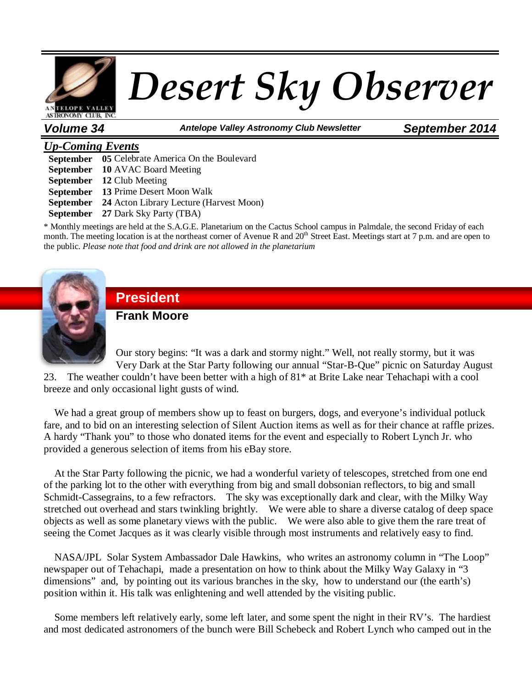

*Volume 34 Antelope Valley Astronomy Club Newsletter September 2014*

### *Up-Coming Events*

**September 05** Celebrate America On the Boulevard **September 10** AVAC Board Meeting **September 12** Club Meeting **September 13** Prime Desert Moon Walk **September 24** Acton Library Lecture (Harvest Moon) **September 27** Dark Sky Party (TBA)

\* Monthly meetings are held at the S.A.G.E. Planetarium on the Cactus School campus in Palmdale, the second Friday of each month. The meeting location is at the northeast corner of Avenue R and  $20<sup>th</sup>$  Street East. Meetings start at 7 p.m. and are open to the public. *Please note that food and drink are not allowed in the planetarium*



# **President**

**Frank Moore**

Our story begins: "It was a dark and stormy night." Well, not really stormy, but it was Very Dark at the Star Party following our annual "Star-B-Que" picnic on Saturday August

23. The weather couldn't have been better with a high of 81\* at Brite Lake near Tehachapi with a cool breeze and only occasional light gusts of wind.

We had a great group of members show up to feast on burgers, dogs, and everyone's individual potluck fare, and to bid on an interesting selection of Silent Auction items as well as for their chance at raffle prizes. A hardy "Thank you" to those who donated items for the event and especially to Robert Lynch Jr. who provided a generous selection of items from his eBay store.

 At the Star Party following the picnic, we had a wonderful variety of telescopes, stretched from one end of the parking lot to the other with everything from big and small dobsonian reflectors, to big and small Schmidt-Cassegrains, to a few refractors. The sky was exceptionally dark and clear, with the Milky Way stretched out overhead and stars twinkling brightly. We were able to share a diverse catalog of deep space objects as well as some planetary views with the public. We were also able to give them the rare treat of seeing the Comet Jacques as it was clearly visible through most instruments and relatively easy to find.

 NASA/JPL Solar System Ambassador Dale Hawkins, who writes an astronomy column in "The Loop" newspaper out of Tehachapi, made a presentation on how to think about the Milky Way Galaxy in "3 dimensions" and, by pointing out its various branches in the sky, how to understand our (the earth's) position within it. His talk was enlightening and well attended by the visiting public.

 Some members left relatively early, some left later, and some spent the night in their RV's. The hardiest and most dedicated astronomers of the bunch were Bill Schebeck and Robert Lynch who camped out in the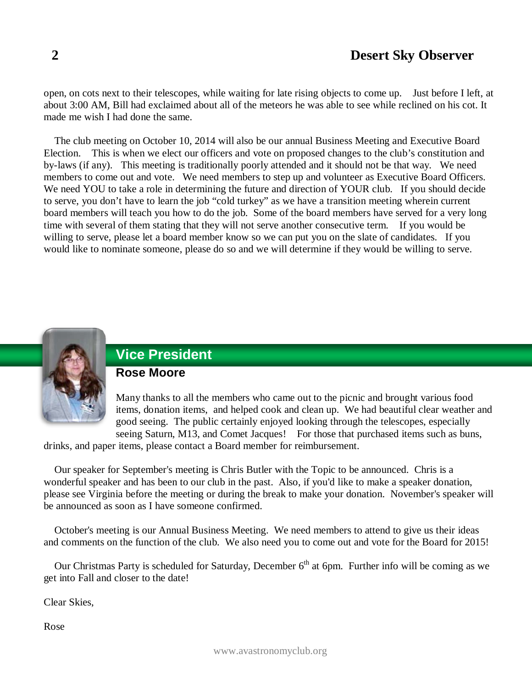open, on cots next to their telescopes, while waiting for late rising objects to come up. Just before I left, at about 3:00 AM, Bill had exclaimed about all of the meteors he was able to see while reclined on his cot. It made me wish I had done the same.

 The club meeting on October 10, 2014 will also be our annual Business Meeting and Executive Board Election. This is when we elect our officers and vote on proposed changes to the club's constitution and by-laws (if any). This meeting is traditionally poorly attended and it should not be that way. We need members to come out and vote. We need members to step up and volunteer as Executive Board Officers. We need YOU to take a role in determining the future and direction of YOUR club. If you should decide to serve, you don't have to learn the job "cold turkey" as we have a transition meeting wherein current board members will teach you how to do the job. Some of the board members have served for a very long time with several of them stating that they will not serve another consecutive term. If you would be willing to serve, please let a board member know so we can put you on the slate of candidates. If you would like to nominate someone, please do so and we will determine if they would be willing to serve.



# **Vice President**

### **Rose Moore**

Many thanks to all the members who came out to the picnic and brought various food items, donation items, and helped cook and clean up. We had beautiful clear weather and good seeing. The public certainly enjoyed looking through the telescopes, especially seeing Saturn, M13, and Comet Jacques! For those that purchased items such as buns,

drinks, and paper items, please contact a Board member for reimbursement.

 Our speaker for September's meeting is Chris Butler with the Topic to be announced. Chris is a wonderful speaker and has been to our club in the past. Also, if you'd like to make a speaker donation, please see Virginia before the meeting or during the break to make your donation. November's speaker will be announced as soon as I have someone confirmed.

 October's meeting is our Annual Business Meeting. We need members to attend to give us their ideas and comments on the function of the club. We also need you to come out and vote for the Board for 2015!

Our Christmas Party is scheduled for Saturday, December  $6<sup>th</sup>$  at 6pm. Further info will be coming as we get into Fall and closer to the date!

Clear Skies,

Rose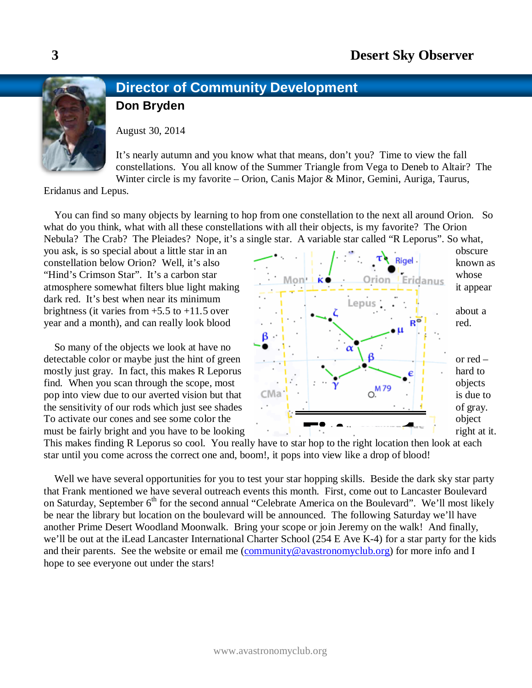# **Director of Community Development**

**Don Bryden**

August 30, 2014

It's nearly autumn and you know what that means, don't you? Time to view the fall constellations. You all know of the Summer Triangle from Vega to Deneb to Altair? The Winter circle is my favorite – Orion, Canis Major & Minor, Gemini, Auriga, Taurus,

Eridanus and Lepus.

 You can find so many objects by learning to hop from one constellation to the next all around Orion. So what do you think, what with all these constellations with all their objects, is my favorite? The Orion Nebula? The Crab? The Pleiades? Nope, it's a single star. A variable star called "R Leporus". So what,

dark red. It's best when near its minimum

So many of the objects we look at have no



This makes finding R Leporus so cool. You really have to star hop to the right location then look at each This makes finding R Leporus so cool. You really have to star hop to the right location then look at each star until you come across the correct one and, boom!, it pops into view like a drop of blood!

star until you come across the correct one and, boom!, it pops into view like a drop of biood!<br>Well we have several opportunities for you to test your star hopping skills. Beside the dark sky star party that Frank mentioned we have several outreach events this month. First, come out to Lancaster Boulevard on Saturday, September 6<sup>th</sup> for the second annual "Celebrate America on the Boulevard". We'll most likely be near the library but location on the boulevard will be announced. The following Saturday we'll have another Prime Desert Woodland Moonwalk. Bring your scope or join Jeremy on the walk! And finally, we'll be out at the iLead Lancaster International Charter School (254 E Ave K-4) for a star party for the kids and their parents. See the website or email me  $(\overline{community@avastronomyclub.org})$  for more info and I hope to see everyone out under the stars! ca<br>V<br>da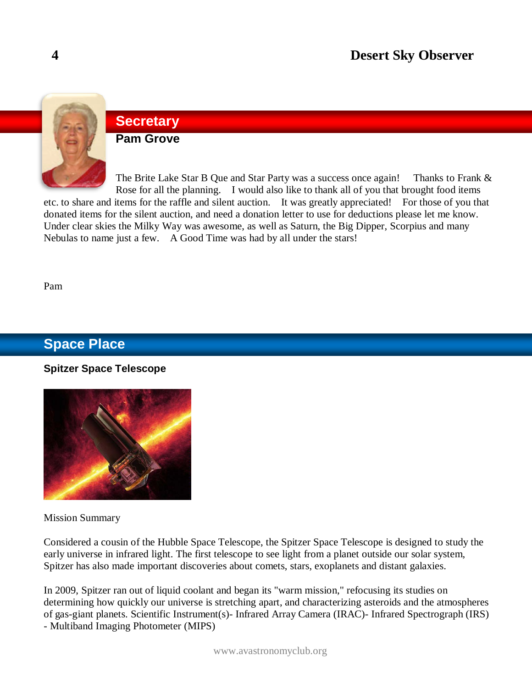

### **Secretary**

**Pam Grove**

The Brite Lake Star B Que and Star Party was a success once again! Thanks to Frank & Rose for all the planning. I would also like to thank all of you that brought food items etc. to share and items for the raffle and silent auction. It was greatly appreciated! For those of you that

donated items for the silent auction, and need a donation letter to use for deductions please let me know. Under clear skies the Milky Way was awesome, as well as Saturn, the Big Dipper, Scorpius and many Nebulas to name just a few. A Good Time was had by all under the stars!

Pam

### **Space Place**

#### **Spitzer Space Telescope**



Mission Summary

Considered a cousin of the Hubble Space Telescope, the Spitzer Space Telescope is designed to study the early universe in infrared light. The first telescope to see light from a planet outside our solar system, Spitzer has also made important discoveries about comets, stars, exoplanets and distant galaxies.

In 2009, Spitzer ran out of liquid coolant and began its "warm mission," refocusing its studies on determining how quickly our universe is stretching apart, and characterizing asteroids and the atmospheres of gas-giant planets. Scientific Instrument(s)- Infrared Array Camera (IRAC)- Infrared Spectrograph (IRS) - Multiband Imaging Photometer (MIPS)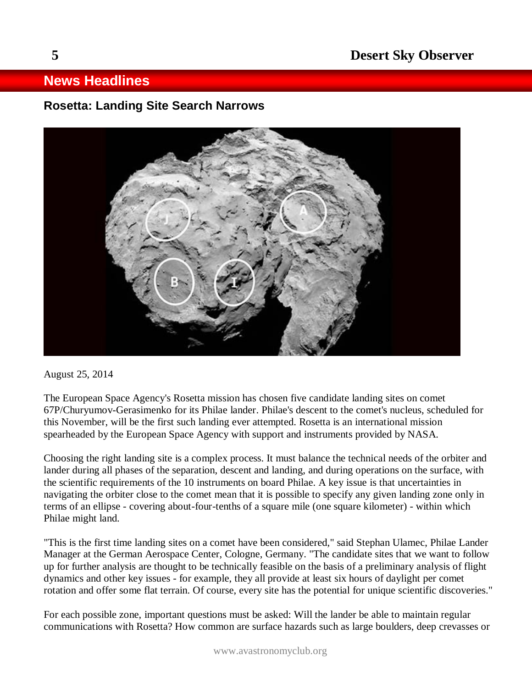### **News Headlines**

### **Rosetta: Landing Site Search Narrows**



August 25, 2014

The European Space Agency's Rosetta mission has chosen five candidate landing sites on comet 67P/Churyumov-Gerasimenko for its Philae lander. Philae's descent to the comet's nucleus, scheduled for this November, will be the first such landing ever attempted. Rosetta is an international mission spearheaded by the European Space Agency with support and instruments provided by NASA.

Choosing the right landing site is a complex process. It must balance the technical needs of the orbiter and lander during all phases of the separation, descent and landing, and during operations on the surface, with the scientific requirements of the 10 instruments on board Philae. A key issue is that uncertainties in navigating the orbiter close to the comet mean that it is possible to specify any given landing zone only in terms of an ellipse - covering about-four-tenths of a square mile (one square kilometer) - within which Philae might land.

"This is the first time landing sites on a comet have been considered," said Stephan Ulamec, Philae Lander Manager at the German Aerospace Center, Cologne, Germany. "The candidate sites that we want to follow up for further analysis are thought to be technically feasible on the basis of a preliminary analysis of flight dynamics and other key issues - for example, they all provide at least six hours of daylight per comet rotation and offer some flat terrain. Of course, every site has the potential for unique scientific discoveries."

For each possible zone, important questions must be asked: Will the lander be able to maintain regular communications with Rosetta? How common are surface hazards such as large boulders, deep crevasses or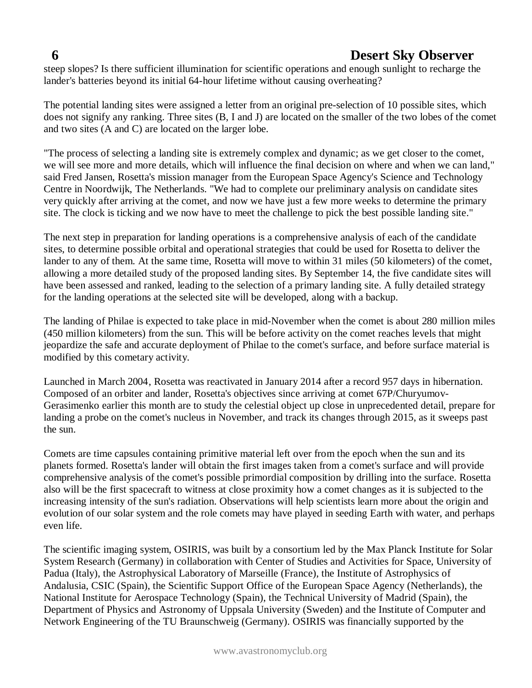steep slopes? Is there sufficient illumination for scientific operations and enough sunlight to recharge the lander's batteries beyond its initial 64-hour lifetime without causing overheating?

The potential landing sites were assigned a letter from an original pre-selection of 10 possible sites, which does not signify any ranking. Three sites (B, I and J) are located on the smaller of the two lobes of the comet and two sites (A and C) are located on the larger lobe.

"The process of selecting a landing site is extremely complex and dynamic; as we get closer to the comet, we will see more and more details, which will influence the final decision on where and when we can land," said Fred Jansen, Rosetta's mission manager from the European Space Agency's Science and Technology Centre in Noordwijk, The Netherlands. "We had to complete our preliminary analysis on candidate sites very quickly after arriving at the comet, and now we have just a few more weeks to determine the primary site. The clock is ticking and we now have to meet the challenge to pick the best possible landing site."

The next step in preparation for landing operations is a comprehensive analysis of each of the candidate sites, to determine possible orbital and operational strategies that could be used for Rosetta to deliver the lander to any of them. At the same time, Rosetta will move to within 31 miles (50 kilometers) of the comet, allowing a more detailed study of the proposed landing sites. By September 14, the five candidate sites will have been assessed and ranked, leading to the selection of a primary landing site. A fully detailed strategy for the landing operations at the selected site will be developed, along with a backup.

The landing of Philae is expected to take place in mid-November when the comet is about 280 million miles (450 million kilometers) from the sun. This will be before activity on the comet reaches levels that might jeopardize the safe and accurate deployment of Philae to the comet's surface, and before surface material is modified by this cometary activity.

Launched in March 2004, Rosetta was reactivated in January 2014 after a record 957 days in hibernation. Composed of an orbiter and lander, Rosetta's objectives since arriving at comet 67P/Churyumov-Gerasimenko earlier this month are to study the celestial object up close in unprecedented detail, prepare for landing a probe on the comet's nucleus in November, and track its changes through 2015, as it sweeps past the sun.

Comets are time capsules containing primitive material left over from the epoch when the sun and its planets formed. Rosetta's lander will obtain the first images taken from a comet's surface and will provide comprehensive analysis of the comet's possible primordial composition by drilling into the surface. Rosetta also will be the first spacecraft to witness at close proximity how a comet changes as it is subjected to the increasing intensity of the sun's radiation. Observations will help scientists learn more about the origin and evolution of our solar system and the role comets may have played in seeding Earth with water, and perhaps even life.

The scientific imaging system, OSIRIS, was built by a consortium led by the Max Planck Institute for Solar System Research (Germany) in collaboration with Center of Studies and Activities for Space, University of Padua (Italy), the Astrophysical Laboratory of Marseille (France), the Institute of Astrophysics of Andalusia, CSIC (Spain), the Scientific Support Office of the European Space Agency (Netherlands), the National Institute for Aerospace Technology (Spain), the Technical University of Madrid (Spain), the Department of Physics and Astronomy of Uppsala University (Sweden) and the Institute of Computer and Network Engineering of the TU Braunschweig (Germany). OSIRIS was financially supported by the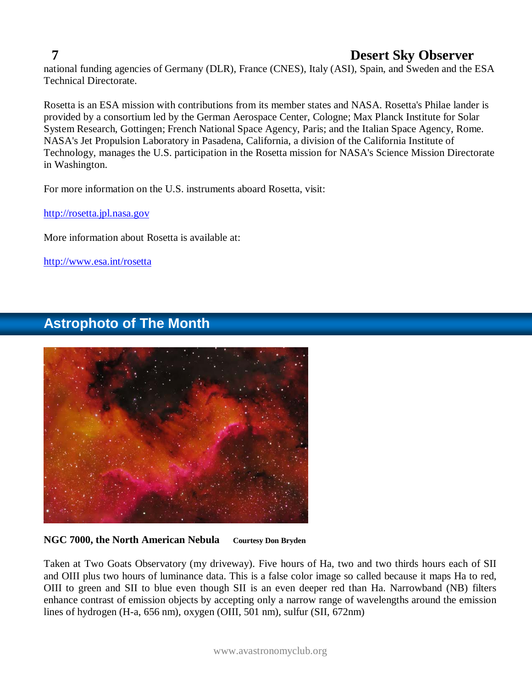national funding agencies of Germany (DLR), France (CNES), Italy (ASI), Spain, and Sweden and the ESA Technical Directorate.

Rosetta is an ESA mission with contributions from its member states and NASA. Rosetta's Philae lander is provided by a consortium led by the German Aerospace Center, Cologne; Max Planck Institute for Solar System Research, Gottingen; French National Space Agency, Paris; and the Italian Space Agency, Rome. NASA's Jet Propulsion Laboratory in Pasadena, California, a division of the California Institute of Technology, manages the U.S. participation in the Rosetta mission for NASA's Science Mission Directorate in Washington.

For more information on the U.S. instruments aboard Rosetta, visit:

[http://rosetta.jpl.nasa.gov](http://rosetta.jpl.nasa.gov/)

More information about Rosetta is available at:

<http://www.esa.int/rosetta>

### **Astrophoto of The Month**

#### **NGC 7000, the North American Nebula Courtesy Don Bryden**

Taken at Two Goats Observatory (my driveway). Five hours of Ha, two and two thirds hours each of SII and OIII plus two hours of luminance data. This is a false color image so called because it maps Ha to red, OIII to green and SII to blue even though SII is an even deeper red than Ha. Narrowband (NB) filters enhance contrast of emission objects by accepting only a narrow range of wavelengths around the emission lines of hydrogen (H-a, 656 nm), oxygen (OIII, 501 nm), sulfur (SII, 672nm)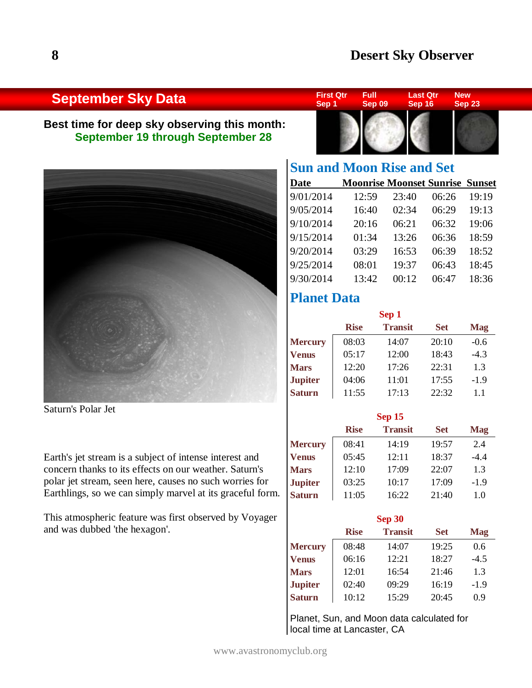### **September Sky Data**

### **Best time for deep sky observing this month: September 19 through September 28**



Saturn's Polar Jet

Earth's jet stream is a subject of intense interest and concern thanks to its effects on our weather. Saturn's polar jet stream, seen here, causes no such worries for Earthlings, so we can simply marvel at its graceful form.

This atmospheric feature was first observed by Voyager and was dubbed 'the hexagon'.



| <b>Sun and Moon Rise and Set</b> |                                        |       |       |       |
|----------------------------------|----------------------------------------|-------|-------|-------|
| Date                             | <b>Moonrise Moonset Sunrise Sunset</b> |       |       |       |
| 9/01/2014                        | 12:59                                  | 23:40 | 06:26 | 19:19 |
| 9/05/2014                        | 16:40                                  | 02:34 | 06:29 | 19:13 |
| 9/10/2014                        | 20:16                                  | 06:21 | 06:32 | 19:06 |
| 9/15/2014                        | 01:34                                  | 13:26 | 06:36 | 18:59 |
| 9/20/2014                        | 03:29                                  | 16:53 | 06:39 | 18:52 |
| 9/25/2014                        | 08:01                                  | 19:37 | 06:43 | 18:45 |
| 9/30/2014                        | 13:42                                  | 00:12 | 06:47 | 18:36 |

### **Planet Data**

| Sep 1          |             |                |            |            |
|----------------|-------------|----------------|------------|------------|
|                | <b>Rise</b> | <b>Transit</b> | <b>Set</b> | <b>Mag</b> |
| <b>Mercury</b> | 08:03       | 14:07          | 20:10      | $-0.6$     |
| Venus          | 05:17       | 12:00          | 18:43      | $-4.3$     |
| <b>Mars</b>    | 12:20       | 17:26          | 22:31      | 1.3        |
| <b>Jupiter</b> | 04:06       | 11:01          | 17:55      | $-1.9$     |
| <b>Saturn</b>  | 11:55       | 17:13          | 22:32      | 1.1        |

| <b>Sep 15</b>  |             |                |            |            |
|----------------|-------------|----------------|------------|------------|
|                | <b>Rise</b> | <b>Transit</b> | <b>Set</b> | <b>Mag</b> |
| <b>Mercury</b> | 08:41       | 14:19          | 19:57      | 2.4        |
| <b>Venus</b>   | 05:45       | 12:11          | 18:37      | $-4.4$     |
| <b>Mars</b>    | 12:10       | 17:09          | 22:07      | 1.3        |
| <b>Jupiter</b> | 03:25       | 10:17          | 17:09      | $-1.9$     |
| <b>Saturn</b>  | 11:05       | 16:22          | 21:40      | 1.0        |

| <b>Sep 30</b>  |             |                |            |            |
|----------------|-------------|----------------|------------|------------|
|                | <b>Rise</b> | <b>Transit</b> | <b>Set</b> | <b>Mag</b> |
| <b>Mercury</b> | 08:48       | 14:07          | 19:25      | 0.6        |
| <b>Venus</b>   | 06:16       | 12:21          | 18:27      | $-4.5$     |
| <b>Mars</b>    | 12:01       | 16:54          | 21:46      | 1.3        |
| <b>Jupiter</b> | 02:40       | 09:29          | 16:19      | $-1.9$     |
| <b>Saturn</b>  | 10:12       | 15:29          | 20:45      | 0.9        |

Planet, Sun, and Moon data calculated for local time at Lancaster, CA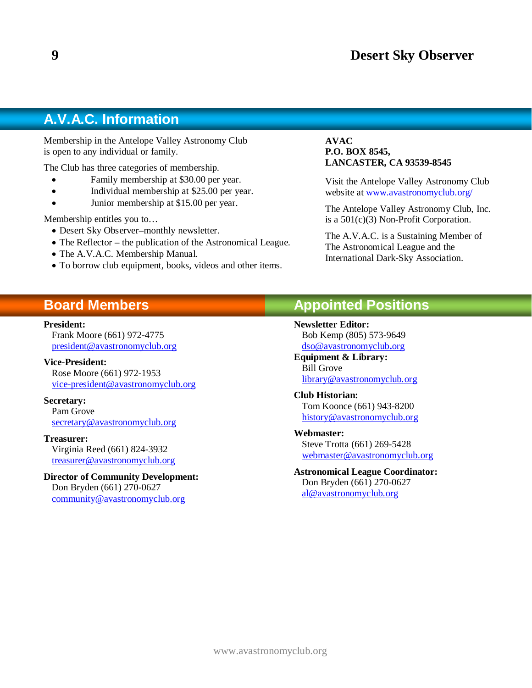### **A.V.A.C. Information**

Membership in the Antelope Valley Astronomy Club is open to any individual or family.

The Club has three categories of membership.

- Family membership at \$30.00 per year.
- Individual membership at \$25.00 per year.
- Junior membership at \$15.00 per year.

Membership entitles you to…

- Desert Sky Observer–monthly newsletter.
- The Reflector the publication of the Astronomical League.
- The A.V.A.C. Membership Manual.
- To borrow club equipment, books, videos and other items.

#### **AVAC P.O. BOX 8545, LANCASTER, CA 93539-8545**

Visit the Antelope Valley Astronomy Club website at [www.avastronomyclub.org/](http://www.avastronomyclub.org/)

The Antelope Valley Astronomy Club, Inc. is a 501(c)(3) Non-Profit Corporation.

The A.V.A.C. is a Sustaining Member of The Astronomical League and the International Dark-Sky Association.

### **Board Members**

#### **President:**

Frank Moore (661) 972-4775 [president@avastronomyclub.org](mailto:president@avastronomyclub.org) 

**Vice-President:** Rose Moore (661) 972-1953 [vice-president@avastronomyclub.org](mailto:vice-president@avastronomyclub.org)

**Secretary:** Pam Grove [secretary@avastronomyclub.org](mailto:secretary@avastronomyclub.org)

#### **Treasurer:**

Virginia Reed (661) 824-3932 [treasurer@avastronomyclub.org](mailto:treasurer@avastronomyclub.org)

#### **Director of Community Development:** Don Bryden (661) 270-0627

[community@avastronomyclub.org](mailto:community@avastronomyclub.org)

### **Appointed Positions**

**Newsletter Editor:**

Bob Kemp (805) 573-9649 [dso@avastronomyclub](mailto:dso@avastronomyclub.org)**.**org

**Equipment & Library:** Bill Grove [library@avastronomyclub.org](mailto:library@avastronomyclub.org)

**Club Historian:** Tom Koonce (661) 943-8200 [history@avastronomyclub.org](mailto:history@avastronomyclub.org)

#### **Webmaster:**

Steve Trotta (661) 269-5428 [webmaster@avastronomyclub.org](mailto:webmaster@avastronomyclub.org)

**Astronomical League Coordinator:** Don Bryden (661) 270-0627 [al@avastronomyclub.org](mailto:al@avastronomyclub.org)